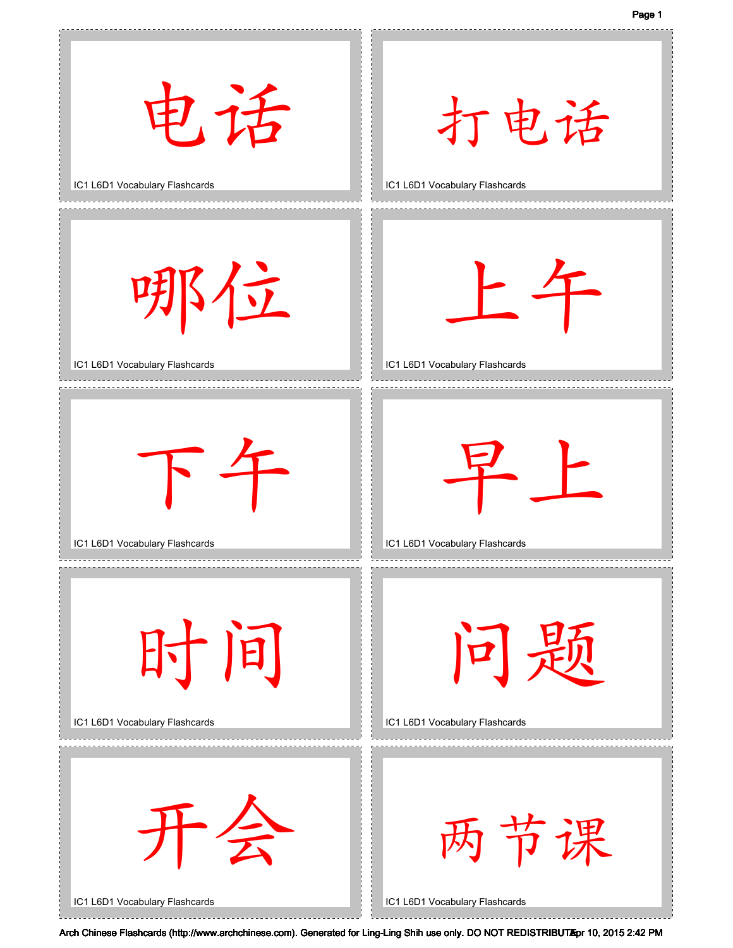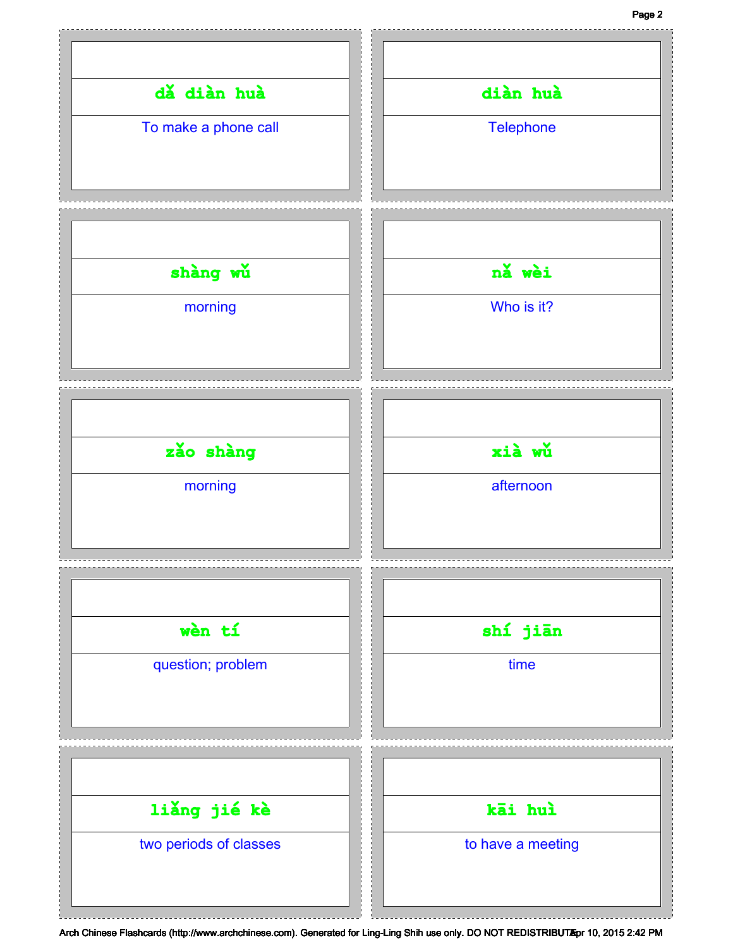## Page 2

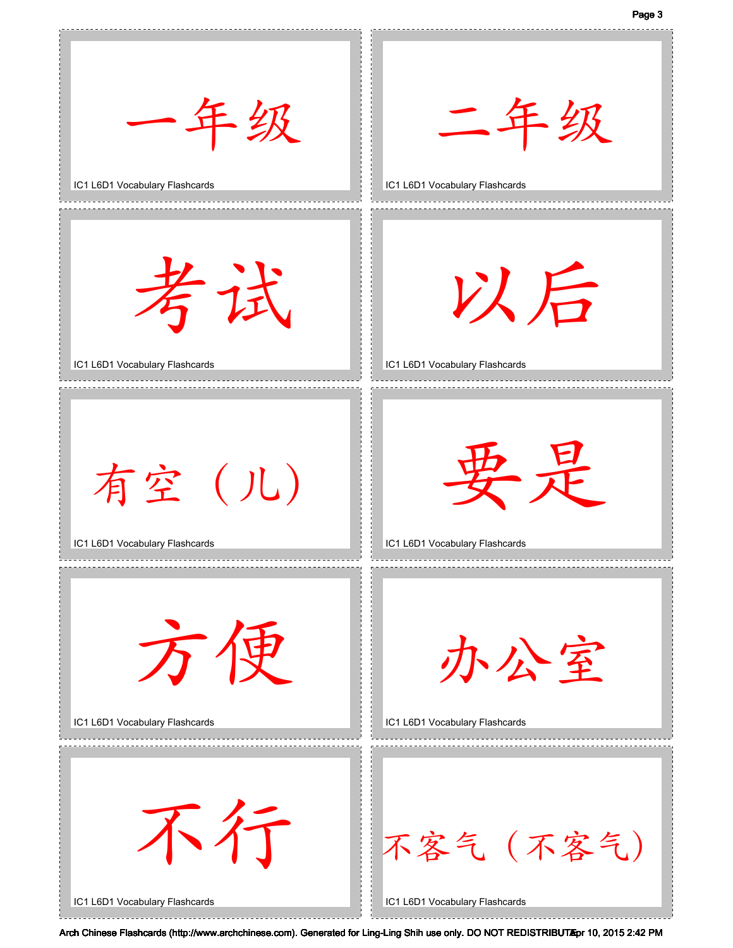Page 3

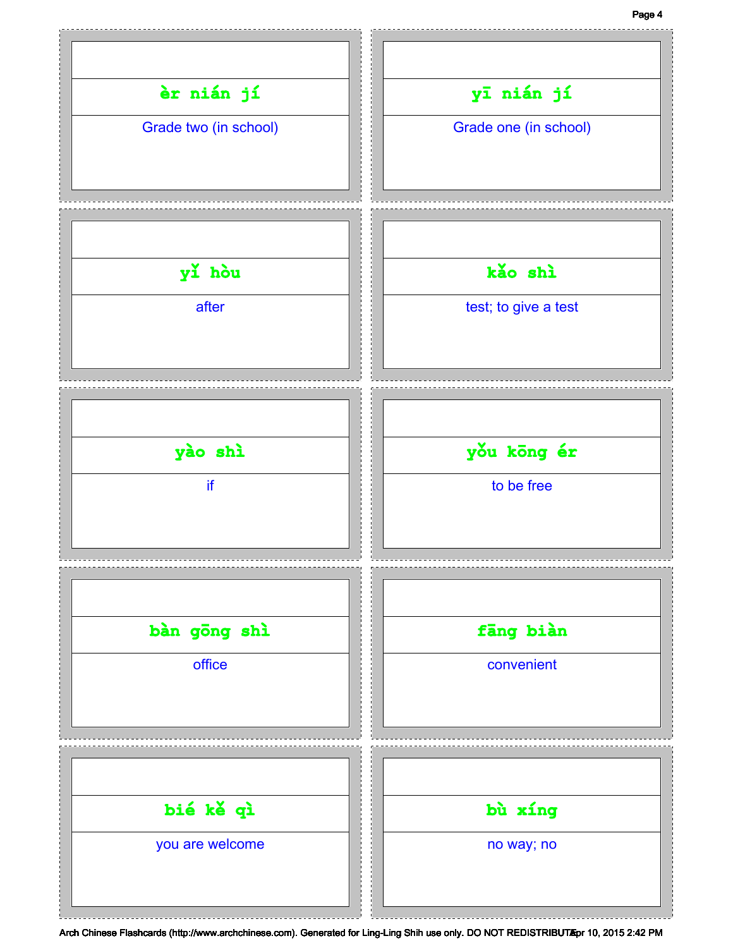## Page 4

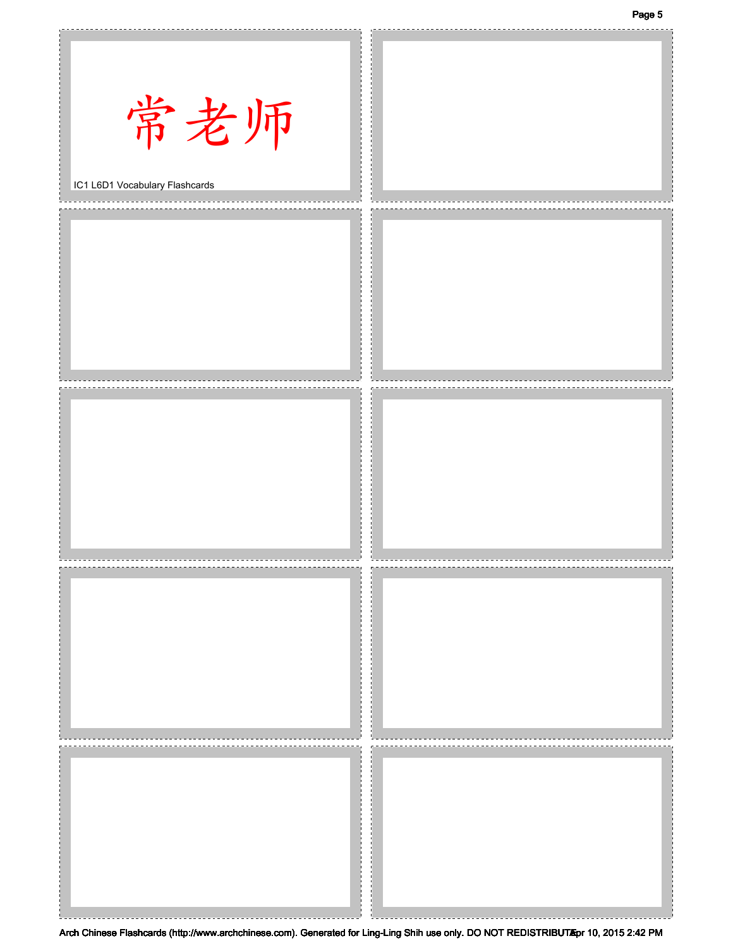